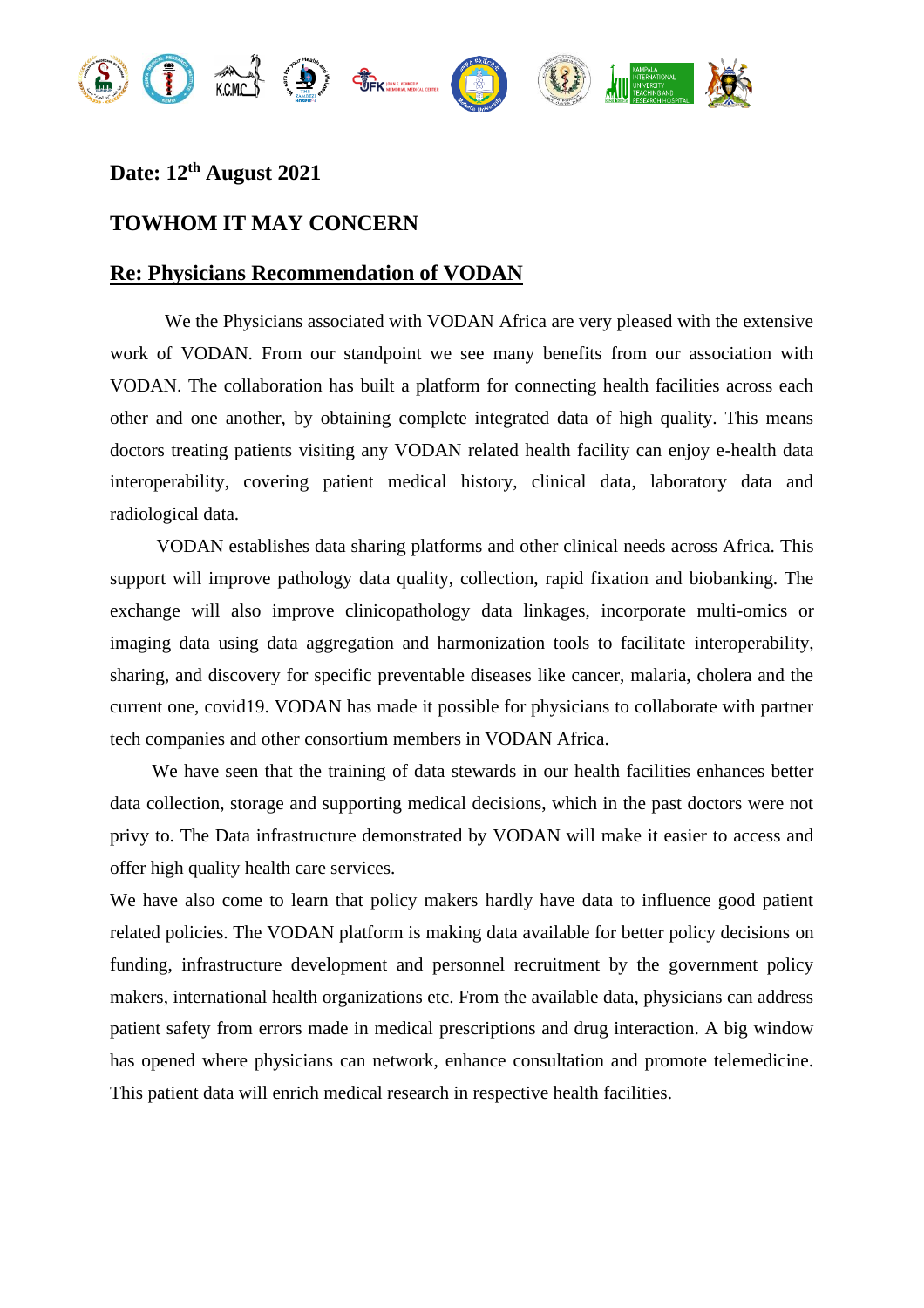

## **Date: 12th August 2021**

## **TOWHOM IT MAY CONCERN**

## **Re: Physicians Recommendation of VODAN**

We the Physicians associated with VODAN Africa are very pleased with the extensive work of VODAN. From our standpoint we see many benefits from our association with VODAN. The collaboration has built a platform for connecting health facilities across each other and one another, by obtaining complete integrated data of high quality. This means doctors treating patients visiting any VODAN related health facility can enjoy e-health data interoperability, covering patient medical history, clinical data, laboratory data and radiological data.

 VODAN establishes data sharing platforms and other clinical needs across Africa. This support will improve pathology data quality, collection, rapid fixation and biobanking. The exchange will also improve clinicopathology data linkages, incorporate multi-omics or imaging data using data aggregation and harmonization tools to facilitate interoperability, sharing, and discovery for specific preventable diseases like cancer, malaria, cholera and the current one, covid19. VODAN has made it possible for physicians to collaborate with partner tech companies and other consortium members in VODAN Africa.

 We have seen that the training of data stewards in our health facilities enhances better data collection, storage and supporting medical decisions, which in the past doctors were not privy to. The Data infrastructure demonstrated by VODAN will make it easier to access and offer high quality health care services.

We have also come to learn that policy makers hardly have data to influence good patient related policies. The VODAN platform is making data available for better policy decisions on funding, infrastructure development and personnel recruitment by the government policy makers, international health organizations etc. From the available data, physicians can address patient safety from errors made in medical prescriptions and drug interaction. A big window has opened where physicians can network, enhance consultation and promote telemedicine. This patient data will enrich medical research in respective health facilities.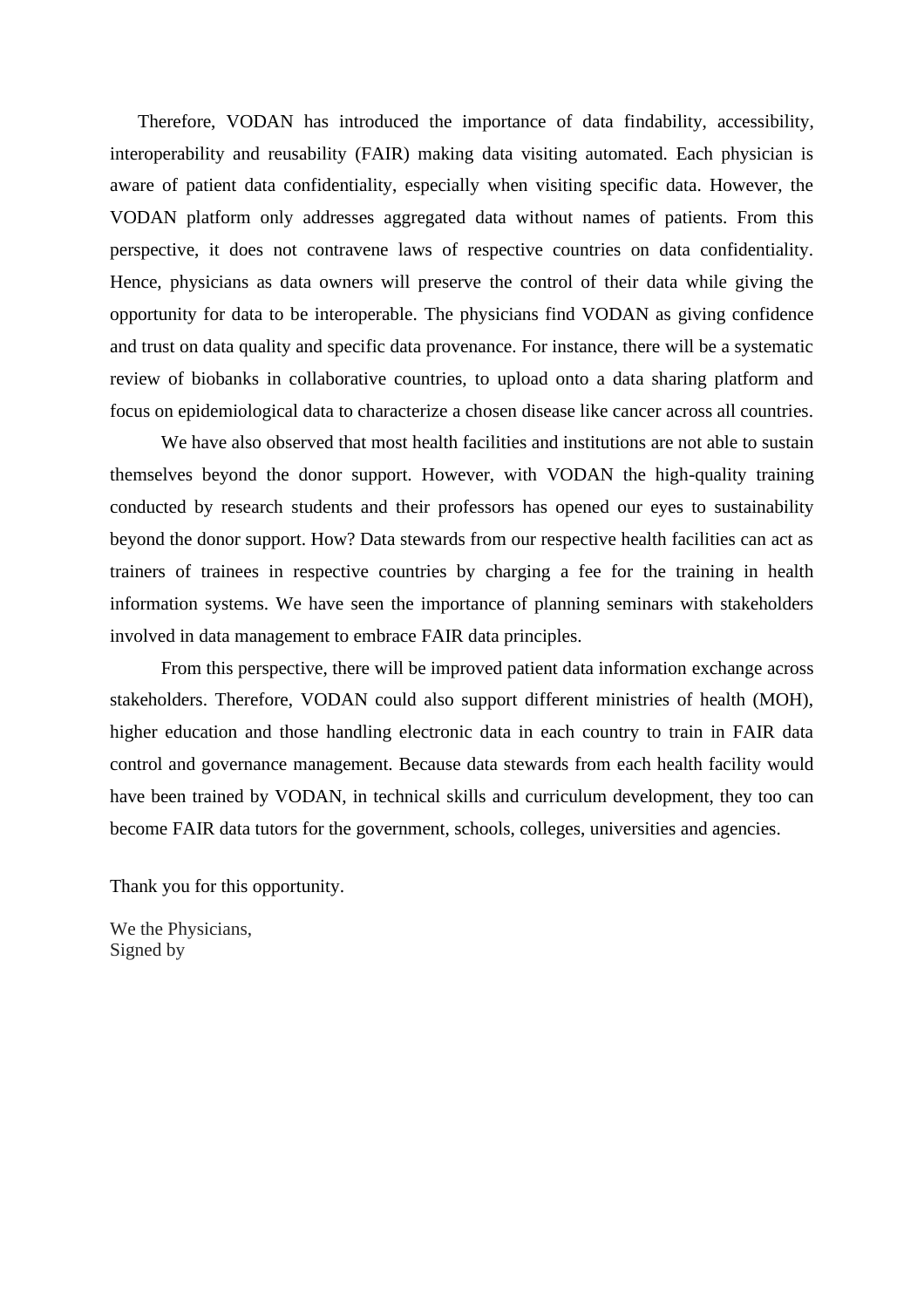Therefore, VODAN has introduced the importance of data findability, accessibility, interoperability and reusability (FAIR) making data visiting automated. Each physician is aware of patient data confidentiality, especially when visiting specific data. However, the VODAN platform only addresses aggregated data without names of patients. From this perspective, it does not contravene laws of respective countries on data confidentiality. Hence, physicians as data owners will preserve the control of their data while giving the opportunity for data to be interoperable. The physicians find VODAN as giving confidence and trust on data quality and specific data provenance. For instance, there will be a systematic review of biobanks in collaborative countries, to upload onto a data sharing platform and focus on epidemiological data to characterize a chosen disease like cancer across all countries.

 We have also observed that most health facilities and institutions are not able to sustain themselves beyond the donor support. However, with VODAN the high-quality training conducted by research students and their professors has opened our eyes to sustainability beyond the donor support. How? Data stewards from our respective health facilities can act as trainers of trainees in respective countries by charging a fee for the training in health information systems. We have seen the importance of planning seminars with stakeholders involved in data management to embrace FAIR data principles.

 From this perspective, there will be improved patient data information exchange across stakeholders. Therefore, VODAN could also support different ministries of health (MOH), higher education and those handling electronic data in each country to train in FAIR data control and governance management. Because data stewards from each health facility would have been trained by VODAN, in technical skills and curriculum development, they too can become FAIR data tutors for the government, schools, colleges, universities and agencies.

Thank you for this opportunity.

We the Physicians, Signed by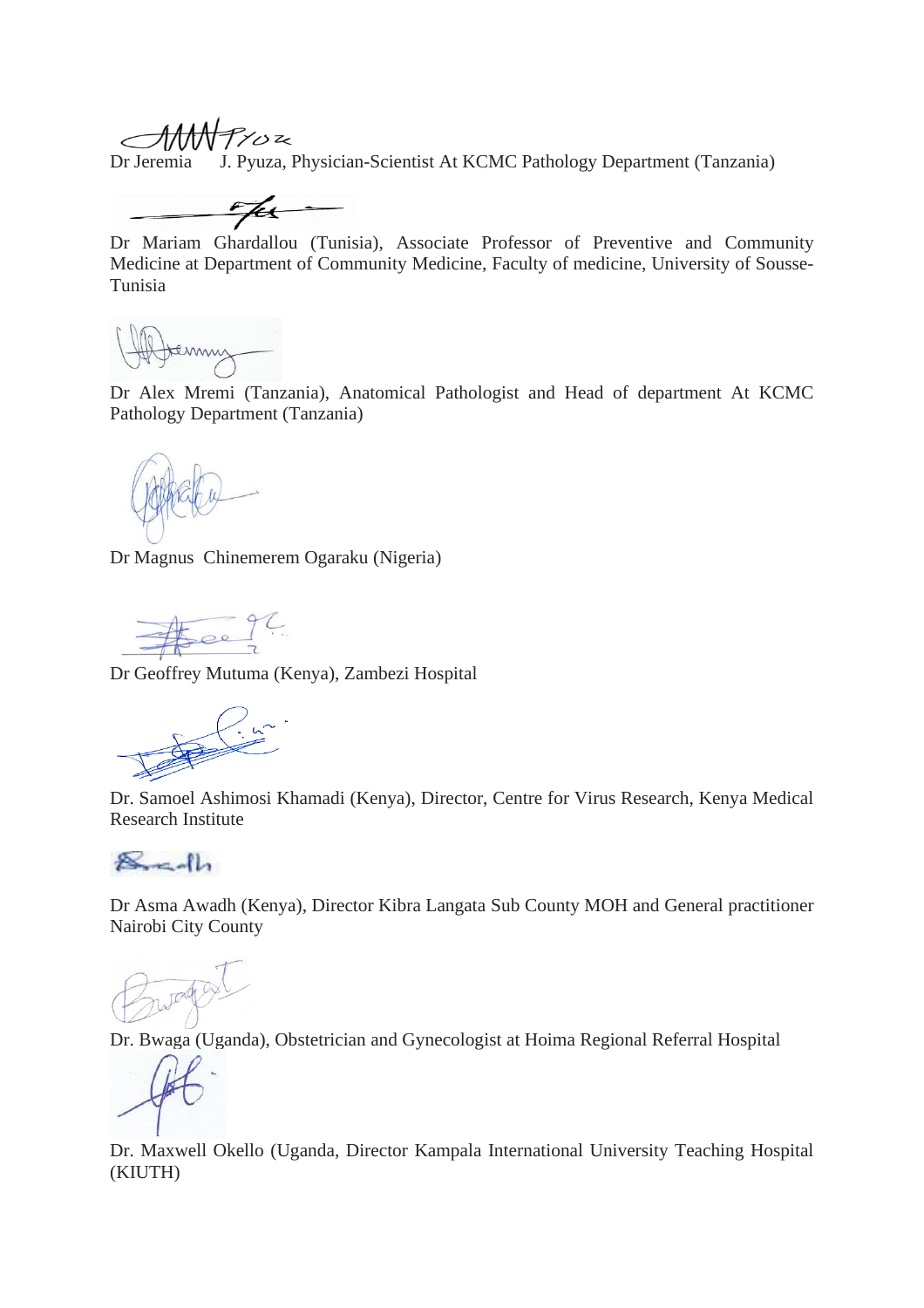AMMPYOR

Dr Jeremia J. Pyuza, Physician-Scientist At KCMC Pathology Department (Tanzania)

<u>e fer</u>

Dr Mariam Ghardallou (Tunisia), Associate Professor of Preventive and Community Medicine at Department of Community Medicine, Faculty of medicine, University of Sousse-Tunisia

Dr Alex Mremi (Tanzania), Anatomical Pathologist and Head of department At KCMC Pathology Department (Tanzania)

Dr Magnus Chinemerem Ogaraku (Nigeria)

Dr Geoffrey Mutuma (Kenya), Zambezi Hospital

Dr. Samoel Ashimosi Khamadi (Kenya), Director, Centre for Virus Research, Kenya Medical Research Institute

 $8 - 1$ 

Dr Asma Awadh (Kenya), Director Kibra Langata Sub County MOH and General practitioner Nairobi City County

Dr. Bwaga (Uganda), Obstetrician and Gynecologist at Hoima Regional Referral Hospital

Dr. Maxwell Okello (Uganda, Director Kampala International University Teaching Hospital (KIUTH)